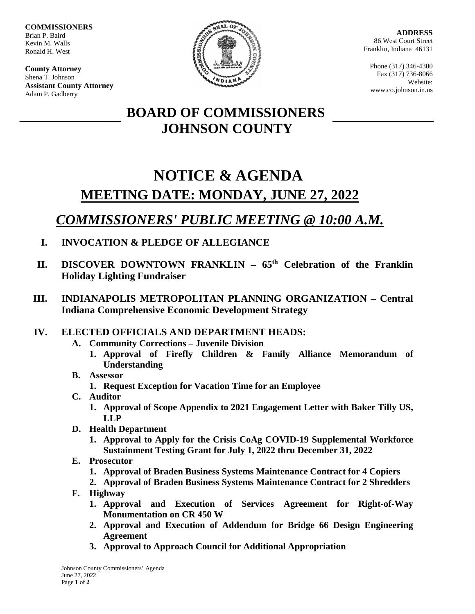**COMMISSIONERS** Brian P. Baird Kevin M. Walls Ronald H. West

**County Attorney** Shena T. Johnson **Assistant County Attorney** Adam P. Gadberry



**ADDRESS** 86 West Court Street Franklin, Indiana 46131

Phone (317) 346-4300 Fax (317) 736-8066 Website: www.co.johnson.in.us

## **BOARD OF COMMISSIONERS JOHNSON COUNTY**

# **NOTICE & AGENDA MEETING DATE: MONDAY, JUNE 27, 2022**

## *COMMISSIONERS' PUBLIC MEETING @ 10:00 A.M.*

- **I. INVOCATION & PLEDGE OF ALLEGIANCE**
- **II. DISCOVER DOWNTOWN FRANKLIN – 65th Celebration of the Franklin Holiday Lighting Fundraiser**
- **III. INDIANAPOLIS METROPOLITAN PLANNING ORGANIZATION – Central Indiana Comprehensive Economic Development Strategy**
- **IV. ELECTED OFFICIALS AND DEPARTMENT HEADS:**
	- **A. Community Corrections – Juvenile Division**
		- **1. Approval of Firefly Children & Family Alliance Memorandum of Understanding**
	- **B. Assessor**
		- **1. Request Exception for Vacation Time for an Employee**
	- **C. Auditor**
		- **1. Approval of Scope Appendix to 2021 Engagement Letter with Baker Tilly US, LLP**
	- **D. Health Department**
		- **1. Approval to Apply for the Crisis CoAg COVID-19 Supplemental Workforce Sustainment Testing Grant for July 1, 2022 thru December 31, 2022**
	- **E. Prosecutor**
		- **1. Approval of Braden Business Systems Maintenance Contract for 4 Copiers**
		- **2. Approval of Braden Business Systems Maintenance Contract for 2 Shredders**
	- **F. Highway** 
		- **1. Approval and Execution of Services Agreement for Right-of-Way Monumentation on CR 450 W**
		- **2. Approval and Execution of Addendum for Bridge 66 Design Engineering Agreement**
		- **3. Approval to Approach Council for Additional Appropriation**